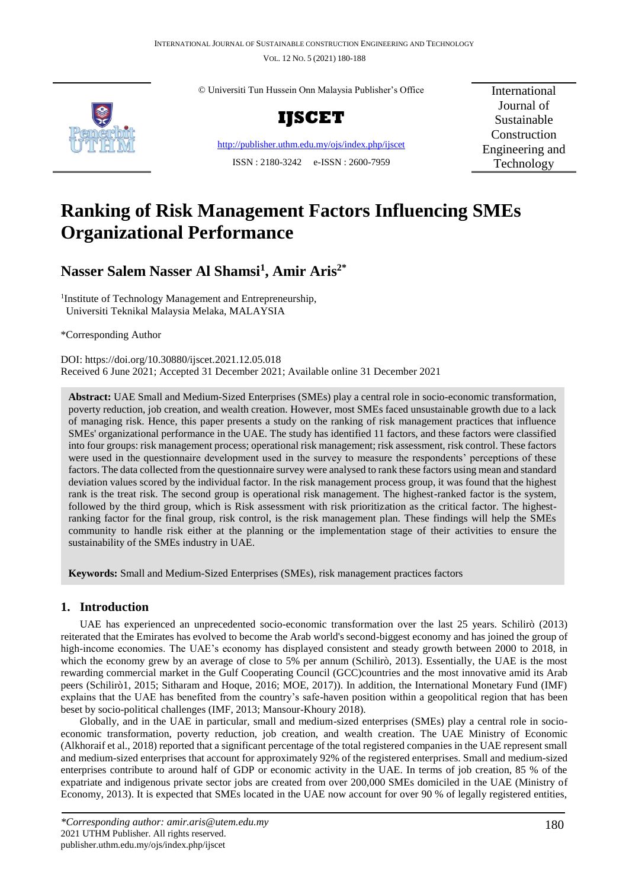VOL. 12 NO. 5 (2021) 180-188



© Universiti Tun Hussein Onn Malaysia Publisher's Office



<http://publisher.uthm.edu.my/ojs/index.php/ijscet> ISSN : 2180-3242 e-ISSN : 2600-7959

International Journal of Sustainable Construction Engineering and Technology

# **Ranking of Risk Management Factors Influencing SMEs Organizational Performance**

# **Nasser Salem Nasser Al Shamsi<sup>1</sup> , Amir Aris2\***

<sup>1</sup>Institute of Technology Management and Entrepreneurship, Universiti Teknikal Malaysia Melaka, MALAYSIA

\*Corresponding Author

DOI: https://doi.org/10.30880/ijscet.2021.12.05.018 Received 6 June 2021; Accepted 31 December 2021; Available online 31 December 2021

**Abstract:** UAE Small and Medium-Sized Enterprises (SMEs) play a central role in socio-economic transformation, poverty reduction, job creation, and wealth creation. However, most SMEs faced unsustainable growth due to a lack of managing risk. Hence, this paper presents a study on the ranking of risk management practices that influence SMEs' organizational performance in the UAE. The study has identified 11 factors, and these factors were classified into four groups: risk management process; operational risk management; risk assessment, risk control. These factors were used in the questionnaire development used in the survey to measure the respondents' perceptions of these factors. The data collected from the questionnaire survey were analysed to rank these factors using mean and standard deviation values scored by the individual factor. In the risk management process group, it was found that the highest rank is the treat risk. The second group is operational risk management. The highest-ranked factor is the system, followed by the third group, which is Risk assessment with risk prioritization as the critical factor. The highestranking factor for the final group, risk control, is the risk management plan. These findings will help the SMEs community to handle risk either at the planning or the implementation stage of their activities to ensure the sustainability of the SMEs industry in UAE.

**Keywords:** Small and Medium-Sized Enterprises (SMEs), risk management practices factors

# **1. Introduction**

UAE has experienced an unprecedented socio-economic transformation over the last 25 years. Schilirò (2013) reiterated that the Emirates has evolved to become the Arab world's second-biggest economy and has joined the group of high-income economies. The UAE's economy has displayed consistent and steady growth between 2000 to 2018, in which the economy grew by an average of close to 5% per annum (Schilirò, 2013). Essentially, the UAE is the most rewarding commercial market in the Gulf Cooperating Council (GCC)countries and the most innovative amid its Arab peers (Schilirò1, 2015; Sitharam and Hoque, 2016; MOE, 2017)). In addition, the International Monetary Fund (IMF) explains that the UAE has benefited from the country's safe-haven position within a geopolitical region that has been beset by socio-political challenges (IMF, 2013; Mansour-Khoury 2018).

Globally, and in the UAE in particular, small and medium-sized enterprises (SMEs) play a central role in socioeconomic transformation, poverty reduction, job creation, and wealth creation. The UAE Ministry of Economic (Alkhoraif et al., 2018) reported that a significant percentage of the total registered companies in the UAE represent small and medium-sized enterprises that account for approximately 92% of the registered enterprises. Small and medium-sized enterprises contribute to around half of GDP or economic activity in the UAE. In terms of job creation, 85 % of the expatriate and indigenous private sector jobs are created from over 200,000 SMEs domiciled in the UAE (Ministry of Economy, 2013). It is expected that SMEs located in the UAE now account for over 90 % of legally registered entities,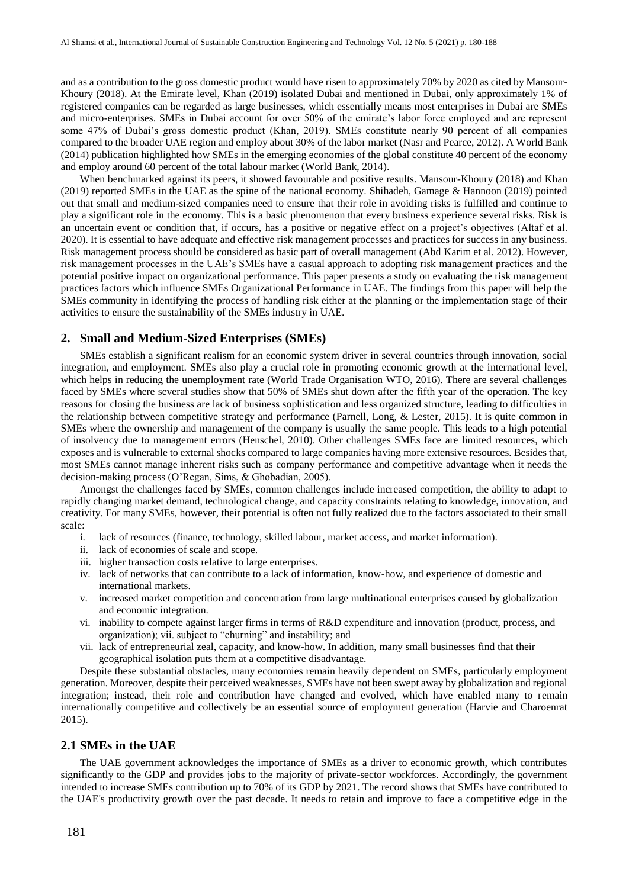and as a contribution to the gross domestic product would have risen to approximately 70% by 2020 as cited by Mansour-Khoury (2018). At the Emirate level, Khan (2019) isolated Dubai and mentioned in Dubai, only approximately 1% of registered companies can be regarded as large businesses, which essentially means most enterprises in Dubai are SMEs and micro-enterprises. SMEs in Dubai account for over 50% of the emirate's labor force employed and are represent some 47% of Dubai's gross domestic product (Khan, 2019). SMEs constitute nearly 90 percent of all companies compared to the broader UAE region and employ about 30% of the labor market (Nasr and Pearce, 2012). A World Bank (2014) publication highlighted how SMEs in the emerging economies of the global constitute 40 percent of the economy and employ around 60 percent of the total labour market (World Bank, 2014).

When benchmarked against its peers, it showed favourable and positive results. Mansour-Khoury (2018) and Khan (2019) reported SMEs in the UAE as the spine of the national economy. Shihadeh, Gamage & Hannoon (2019) pointed out that small and medium-sized companies need to ensure that their role in avoiding risks is fulfilled and continue to play a significant role in the economy. This is a basic phenomenon that every business experience several risks. Risk is an uncertain event or condition that, if occurs, has a positive or negative effect on a project's objectives (Altaf et al. 2020). It is essential to have adequate and effective risk management processes and practices for success in any business. Risk management process should be considered as basic part of overall management (Abd Karim et al. 2012). However, risk management processes in the UAE's SMEs have a casual approach to adopting risk management practices and the potential positive impact on organizational performance. This paper presents a study on evaluating the risk management practices factors which influence SMEs Organizational Performance in UAE. The findings from this paper will help the SMEs community in identifying the process of handling risk either at the planning or the implementation stage of their activities to ensure the sustainability of the SMEs industry in UAE.

#### **2. Small and Medium-Sized Enterprises (SMEs)**

SMEs establish a significant realism for an economic system driver in several countries through innovation, social integration, and employment. SMEs also play a crucial role in promoting economic growth at the international level, which helps in reducing the unemployment rate (World Trade Organisation WTO, 2016). There are several challenges faced by SMEs where several studies show that 50% of SMEs shut down after the fifth year of the operation. The key reasons for closing the business are lack of business sophistication and less organized structure, leading to difficulties in the relationship between competitive strategy and performance (Parnell, Long, & Lester, 2015). It is quite common in SMEs where the ownership and management of the company is usually the same people. This leads to a high potential of insolvency due to management errors (Henschel, 2010). Other challenges SMEs face are limited resources, which exposes and is vulnerable to external shocks compared to large companies having more extensive resources. Besides that, most SMEs cannot manage inherent risks such as company performance and competitive advantage when it needs the decision-making process (O'Regan, Sims, & Ghobadian, 2005).

Amongst the challenges faced by SMEs, common challenges include increased competition, the ability to adapt to rapidly changing market demand, technological change, and capacity constraints relating to knowledge, innovation, and creativity. For many SMEs, however, their potential is often not fully realized due to the factors associated to their small scale:

- i. lack of resources (finance, technology, skilled labour, market access, and market information).
- ii. lack of economies of scale and scope.
- iii. higher transaction costs relative to large enterprises.
- iv. lack of networks that can contribute to a lack of information, know-how, and experience of domestic and international markets.
- v. increased market competition and concentration from large multinational enterprises caused by globalization and economic integration.
- vi. inability to compete against larger firms in terms of R&D expenditure and innovation (product, process, and organization); vii. subject to "churning" and instability; and
- vii. lack of entrepreneurial zeal, capacity, and know-how. In addition, many small businesses find that their geographical isolation puts them at a competitive disadvantage.

Despite these substantial obstacles, many economies remain heavily dependent on SMEs, particularly employment generation. Moreover, despite their perceived weaknesses, SMEs have not been swept away by globalization and regional integration; instead, their role and contribution have changed and evolved, which have enabled many to remain internationally competitive and collectively be an essential source of employment generation (Harvie and Charoenrat 2015).

#### **2.1 SMEs in the UAE**

The UAE government acknowledges the importance of SMEs as a driver to economic growth, which contributes significantly to the GDP and provides jobs to the majority of private-sector workforces. Accordingly, the government intended to increase SMEs contribution up to 70% of its GDP by 2021. The record shows that SMEs have contributed to the UAE's productivity growth over the past decade. It needs to retain and improve to face a competitive edge in the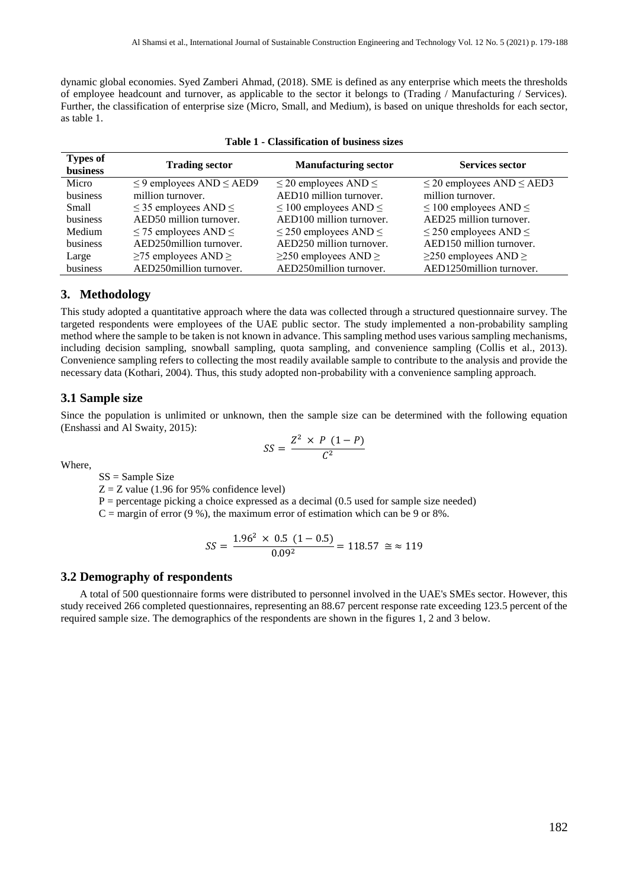dynamic global economies. Syed Zamberi Ahmad, (2018). SME is defined as any enterprise which meets the thresholds of employee headcount and turnover, as applicable to the sector it belongs to (Trading / Manufacturing / Services). Further, the classification of enterprise size (Micro, Small, and Medium), is based on unique thresholds for each sector, as table 1.

| <b>Types of</b><br><b>business</b> | <b>Trading sector</b>              | <b>Manufacturing sector</b>     | <b>Services sector</b>              |
|------------------------------------|------------------------------------|---------------------------------|-------------------------------------|
| Micro                              | $\leq$ 9 employees AND $\leq$ AED9 | $\leq$ 20 employees AND $\leq$  | $\leq$ 20 employees AND $\leq$ AED3 |
| business                           | million turnover.                  | AED10 million turnover.         | million turnover.                   |
| <b>Small</b>                       | $\leq$ 35 employees AND $\leq$     | $\leq$ 100 employees AND $\leq$ | $\leq$ 100 employees AND $\leq$     |
| business                           | AED50 million turnover.            | AED100 million turnover.        | AED25 million turnover.             |
| Medium                             | $\leq$ 75 employees AND $\leq$     | $\leq$ 250 employees AND $\leq$ | $\leq$ 250 employees AND $\leq$     |
| business                           | AED250million turnover.            | AED250 million turnover.        | AED150 million turnover.            |
| Large                              | $\geq$ 75 employees AND $\geq$     | $\geq$ 250 employees AND $\geq$ | $\geq$ 250 employees AND $\geq$     |
| business                           | AED250million turnover.            | AED250million turnover.         | AED1250million turnover.            |

| Table 1 - Classification of business sizes |  |
|--------------------------------------------|--|
|--------------------------------------------|--|

# **3. Methodology**

This study adopted a quantitative approach where the data was collected through a structured questionnaire survey. The targeted respondents were employees of the UAE public sector. The study implemented a non-probability sampling method where the sample to be taken is not known in advance. This sampling method uses various sampling mechanisms, including decision sampling, snowball sampling, quota sampling, and convenience sampling (Collis et al., 2013). Convenience sampling refers to collecting the most readily available sample to contribute to the analysis and provide the necessary data (Kothari, 2004). Thus, this study adopted non-probability with a convenience sampling approach.

#### **3.1 Sample size**

Since the population is unlimited or unknown, then the sample size can be determined with the following equation (Enshassi and Al Swaity, 2015):

$$
SS = \frac{Z^2 \times P (1 - P)}{C^2}
$$

Where,

SS = Sample Size

 $Z = Z$  value (1.96 for 95% confidence level)

 $P =$  percentage picking a choice expressed as a decimal (0.5 used for sample size needed)

 $C =$  margin of error (9 %), the maximum error of estimation which can be 9 or 8%.

$$
SS = \frac{1.96^2 \times 0.5 \ (1 - 0.5)}{0.09^2} = 118.57 \ \approx 119
$$

#### **3.2 Demography of respondents**

A total of 500 questionnaire forms were distributed to personnel involved in the UAE's SMEs sector. However, this study received 266 completed questionnaires, representing an 88.67 percent response rate exceeding 123.5 percent of the required sample size. The demographics of the respondents are shown in the figures 1, 2 and 3 below.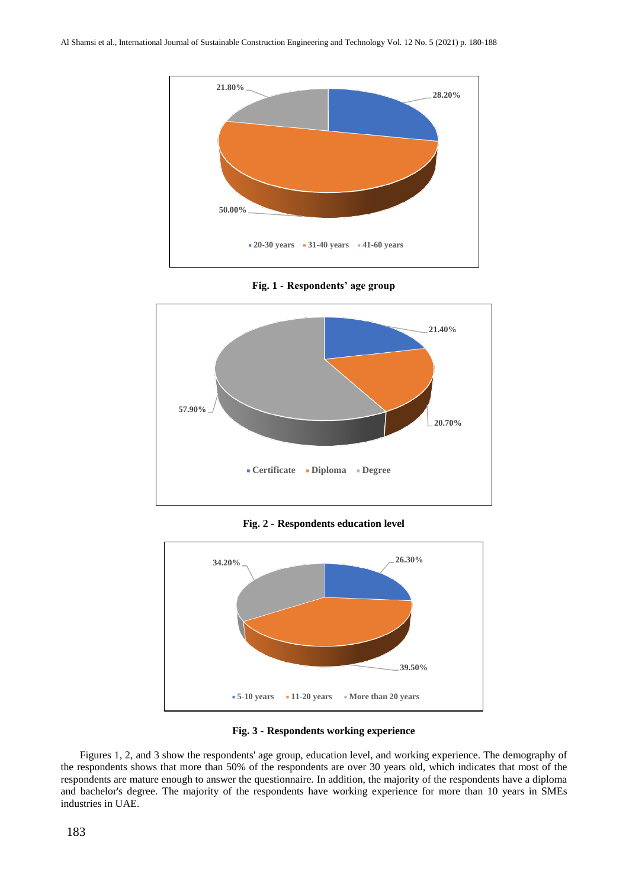

**Fig. 1 - Respondents' age group**



**Fig. 2 - Respondents education level**





Figures 1, 2, and 3 show the respondents' age group, education level, and working experience. The demography of the respondents shows that more than 50% of the respondents are over 30 years old, which indicates that most of the respondents are mature enough to answer the questionnaire. In addition, the majority of the respondents have a diploma and bachelor's degree. The majority of the respondents have working experience for more than 10 years in SMEs industries in UAE.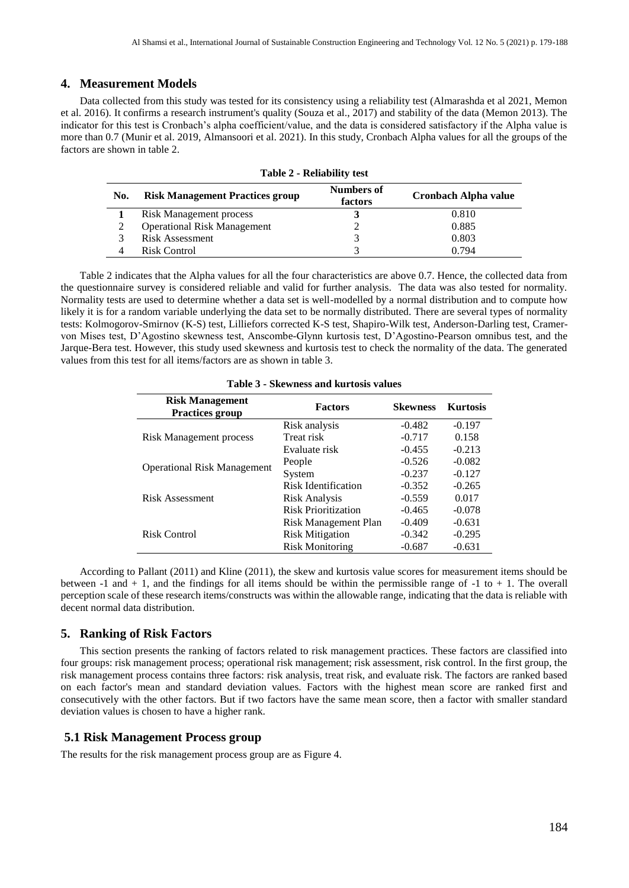#### **4. Measurement Models**

Data collected from this study was tested for its consistency using a reliability test (Almarashda et al 2021, Memon et al. 2016). It confirms a research instrument's quality (Souza et al., 2017) and stability of the data (Memon 2013). The indicator for this test is Cronbach's alpha coefficient/value, and the data is considered satisfactory if the Alpha value is more than 0.7 (Munir et al. 2019, Almansoori et al. 2021). In this study, Cronbach Alpha values for all the groups of the factors are shown in table 2.

**Table 2 - Reliability test**

| No. | <b>Risk Management Practices group</b> | <b>Numbers of</b><br>factors | Cronbach Alpha value |
|-----|----------------------------------------|------------------------------|----------------------|
|     | <b>Risk Management process</b>         |                              | 0.810                |
|     | <b>Operational Risk Management</b>     |                              | 0.885                |
|     | <b>Risk Assessment</b>                 |                              | 0.803                |
|     | Risk Control                           |                              | 0.794                |

Table 2 indicates that the Alpha values for all the four characteristics are above 0.7. Hence, the collected data from the questionnaire survey is considered reliable and valid for further analysis. The data was also tested for normality. Normality tests are used to determine whether a data set is well-modelled by a normal distribution and to compute how likely it is for a random variable underlying the data set to be normally distributed. There are several types of normality tests: Kolmogorov-Smirnov (K-S) test, Lilliefors corrected K-S test, Shapiro-Wilk test, Anderson-Darling test, Cramervon Mises test, D'Agostino skewness test, Anscombe-Glynn kurtosis test, D'Agostino-Pearson omnibus test, and the Jarque-Bera test. However, this study used skewness and kurtosis test to check the normality of the data. The generated values from this test for all items/factors are as shown in table 3.

| <b>Risk Management</b><br><b>Practices group</b> | <b>Factors</b>             | <b>Skewness</b> | <b>Kurtosis</b> |  |  |  |
|--------------------------------------------------|----------------------------|-----------------|-----------------|--|--|--|
|                                                  | Risk analysis              | $-0.482$        | $-0.197$        |  |  |  |
| Risk Management process                          | Treat risk                 | $-0.717$        | 0.158           |  |  |  |
|                                                  | Evaluate risk              | $-0.455$        | $-0.213$        |  |  |  |
|                                                  | People                     | $-0.526$        | $-0.082$        |  |  |  |
| <b>Operational Risk Management</b>               | System                     | $-0.237$        | $-0.127$        |  |  |  |
|                                                  | Risk Identification        | $-0.352$        | $-0.265$        |  |  |  |
| Risk Assessment                                  | <b>Risk Analysis</b>       | $-0.559$        | 0.017           |  |  |  |
|                                                  | <b>Risk Prioritization</b> | $-0.465$        | $-0.078$        |  |  |  |
|                                                  | Risk Management Plan       | $-0.409$        | $-0.631$        |  |  |  |
| Risk Control                                     | <b>Risk Mitigation</b>     | $-0.342$        | $-0.295$        |  |  |  |
|                                                  | <b>Risk Monitoring</b>     | $-0.687$        | $-0.631$        |  |  |  |

**Table 3 - Skewness and kurtosis values**

According to Pallant (2011) and Kline (2011), the skew and kurtosis value scores for measurement items should be between  $-1$  and  $+1$ , and the findings for all items should be within the permissible range of  $-1$  to  $+1$ . The overall perception scale of these research items/constructs was within the allowable range, indicating that the data is reliable with decent normal data distribution.

#### **5. Ranking of Risk Factors**

This section presents the ranking of factors related to risk management practices. These factors are classified into four groups: risk management process; operational risk management; risk assessment, risk control. In the first group, the risk management process contains three factors: risk analysis, treat risk, and evaluate risk. The factors are ranked based on each factor's mean and standard deviation values. Factors with the highest mean score are ranked first and consecutively with the other factors. But if two factors have the same mean score, then a factor with smaller standard deviation values is chosen to have a higher rank.

#### **5.1 Risk Management Process group**

The results for the risk management process group are as Figure 4.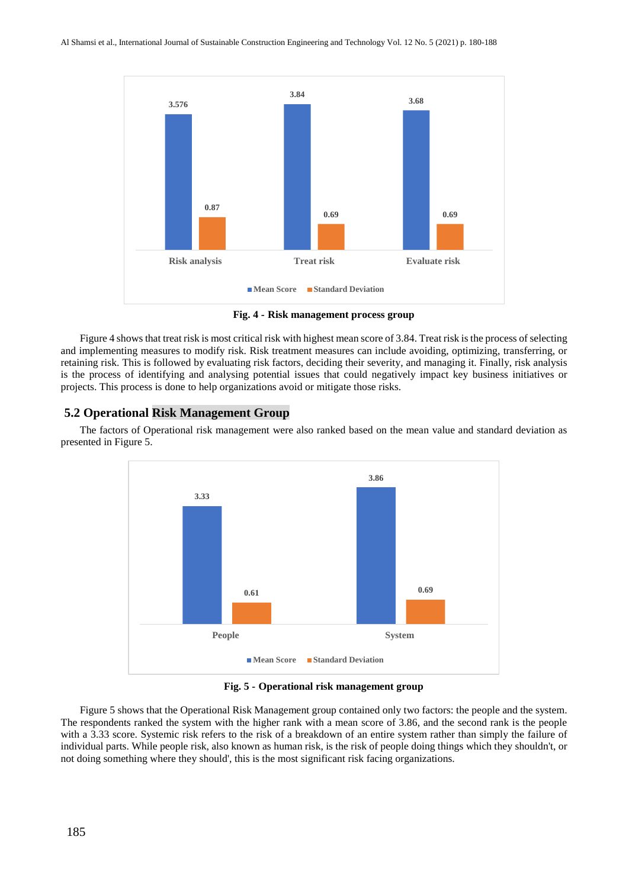

**Fig. 4 - Risk management process group**

Figure 4 shows that treat risk is most critical risk with highest mean score of 3.84. Treat risk is the process of selecting and implementing measures to modify risk. Risk treatment measures can include avoiding, optimizing, transferring, or retaining risk. This is followed by evaluating risk factors, deciding their severity, and managing it. Finally, risk analysis is the process of identifying and analysing potential issues that could negatively impact key business initiatives or projects. This process is done to help organizations avoid or mitigate those risks.

## **5.2 Operational Risk Management Group**

The factors of Operational risk management were also ranked based on the mean value and standard deviation as presented in Figure 5.



**Fig. 5 - Operational risk management group**

Figure 5 shows that the Operational Risk Management group contained only two factors: the people and the system. The respondents ranked the system with the higher rank with a mean score of 3.86, and the second rank is the people with a 3.33 score. Systemic risk refers to the risk of a breakdown of an entire system rather than simply the failure of individual parts. While people risk, also known as human risk, is the risk of people doing things which they shouldn't, or not doing something where they should', this is the most significant risk facing organizations.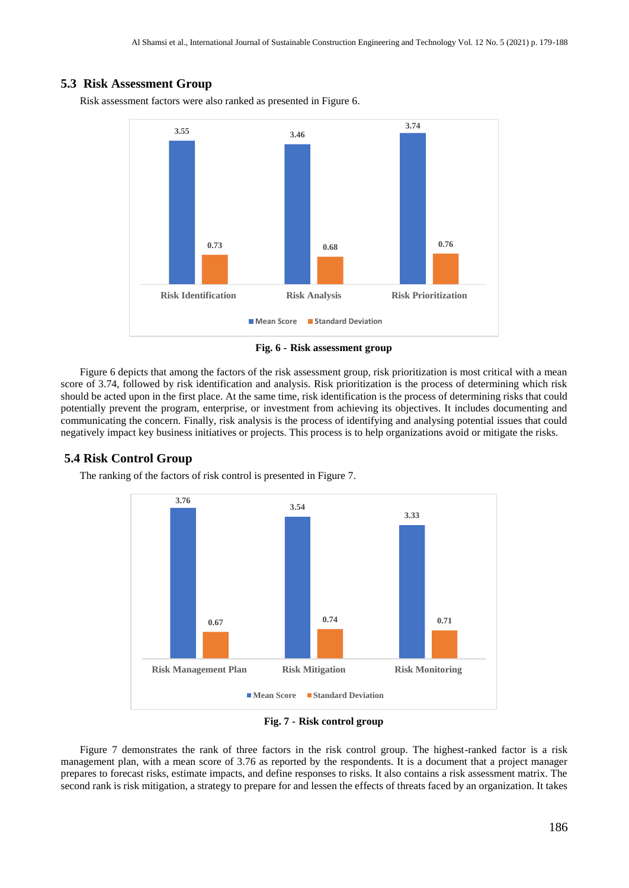### **5.3 Risk Assessment Group**

Risk assessment factors were also ranked as presented in Figure 6.



**Fig. 6 - Risk assessment group**

Figure 6 depicts that among the factors of the risk assessment group, risk prioritization is most critical with a mean score of 3.74, followed by risk identification and analysis. Risk prioritization is the process of determining which risk should be acted upon in the first place. At the same time, risk identification is the process of determining risks that could potentially prevent the program, enterprise, or investment from achieving its objectives. It includes documenting and communicating the concern. Finally, risk analysis is the process of identifying and analysing potential issues that could negatively impact key business initiatives or projects. This process is to help organizations avoid or mitigate the risks.

#### **5.4 Risk Control Group**



The ranking of the factors of risk control is presented in Figure 7.

**Fig. 7 - Risk control group**

Figure 7 demonstrates the rank of three factors in the risk control group. The highest-ranked factor is a risk management plan, with a mean score of 3.76 as reported by the respondents. It is a document that a project manager prepares to forecast risks, estimate impacts, and define responses to risks. It also contains a risk assessment matrix. The second rank is risk mitigation, a strategy to prepare for and lessen the effects of threats faced by an organization. It takes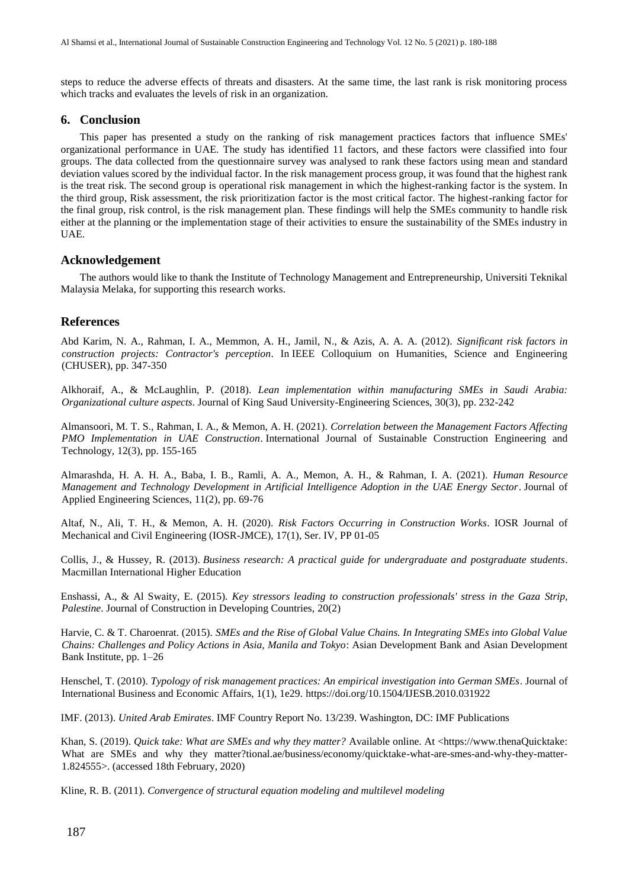steps to reduce the adverse effects of threats and disasters. At the same time, the last rank is risk monitoring process which tracks and evaluates the levels of risk in an organization.

#### **6. Conclusion**

This paper has presented a study on the ranking of risk management practices factors that influence SMEs' organizational performance in UAE. The study has identified 11 factors, and these factors were classified into four groups. The data collected from the questionnaire survey was analysed to rank these factors using mean and standard deviation values scored by the individual factor. In the risk management process group, it was found that the highest rank is the treat risk. The second group is operational risk management in which the highest-ranking factor is the system. In the third group, Risk assessment, the risk prioritization factor is the most critical factor. The highest-ranking factor for the final group, risk control, is the risk management plan. These findings will help the SMEs community to handle risk either at the planning or the implementation stage of their activities to ensure the sustainability of the SMEs industry in UAE.

#### **Acknowledgement**

The authors would like to thank the Institute of Technology Management and Entrepreneurship, Universiti Teknikal Malaysia Melaka, for supporting this research works.

#### **References**

Abd Karim, N. A., Rahman, I. A., Memmon, A. H., Jamil, N., & Azis, A. A. A. (2012). *Significant risk factors in construction projects: Contractor's perception*. In IEEE Colloquium on Humanities, Science and Engineering (CHUSER), pp. 347-350

Alkhoraif, A., & McLaughlin, P. (2018). *Lean implementation within manufacturing SMEs in Saudi Arabia: Organizational culture aspects*. Journal of King Saud University-Engineering Sciences, 30(3), pp. 232-242

Almansoori, M. T. S., Rahman, I. A., & Memon, A. H. (2021). *Correlation between the Management Factors Affecting PMO Implementation in UAE Construction*. International Journal of Sustainable Construction Engineering and Technology, 12(3), pp. 155-165

Almarashda, H. A. H. A., Baba, I. B., Ramli, A. A., Memon, A. H., & Rahman, I. A. (2021). *Human Resource Management and Technology Development in Artificial Intelligence Adoption in the UAE Energy Sector*. Journal of Applied Engineering Sciences, 11(2), pp. 69-76

Altaf, N., Ali, T. H., & Memon, A. H. (2020). *Risk Factors Occurring in Construction Works*. IOSR Journal of Mechanical and Civil Engineering (IOSR-JMCE), 17(1), Ser. IV, PP 01-05

Collis, J., & Hussey, R. (2013). *Business research: A practical guide for undergraduate and postgraduate students*. Macmillan International Higher Education

Enshassi, A., & Al Swaity, E. (2015). *Key stressors leading to construction professionals' stress in the Gaza Strip, Palestine*. Journal of Construction in Developing Countries, 20(2)

Harvie, C. & T. Charoenrat. (2015). *SMEs and the Rise of Global Value Chains. In Integrating SMEs into Global Value Chains: Challenges and Policy Actions in Asia, Manila and Tokyo*: Asian Development Bank and Asian Development Bank Institute, pp. 1–26

Henschel, T. (2010). *Typology of risk management practices: An empirical investigation into German SMEs*. Journal of International Business and Economic Affairs, 1(1), 1e29.<https://doi.org/10.1504/IJESB.2010.031922>

IMF. (2013). *United Arab Emirates*. IMF Country Report No. 13/239. Washington, DC: IMF Publications

Khan, S. (2019). *Quick take: What are SMEs and why they matter?* Available online. At <https://www.thenaQuicktake: What are SMEs and why they matter?tional.ae/business/economy/quicktake-what-are-smes-and-why-they-matter-1.824555>. (accessed 18th February, 2020)

Kline, R. B. (2011). *Convergence of structural equation modeling and multilevel modeling*